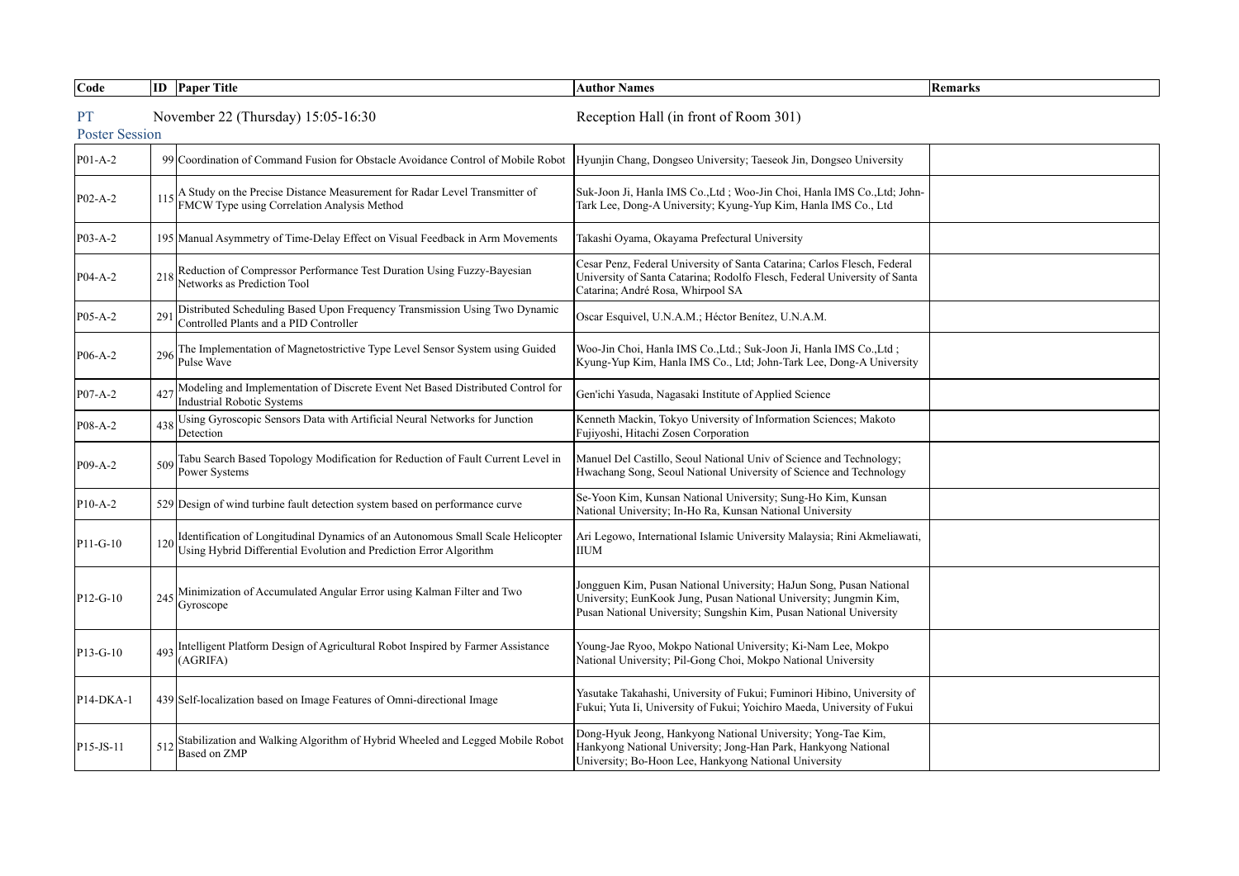| Code      |                                                                             | <b>ID</b> Paper Title                                                                                                                                 | <b>Author Names</b>                                                                                                                                                                                            | Remarks |  |  |  |
|-----------|-----------------------------------------------------------------------------|-------------------------------------------------------------------------------------------------------------------------------------------------------|----------------------------------------------------------------------------------------------------------------------------------------------------------------------------------------------------------------|---------|--|--|--|
| <b>PT</b> | November 22 (Thursday) 15:05-16:30<br>Reception Hall (in front of Room 301) |                                                                                                                                                       |                                                                                                                                                                                                                |         |  |  |  |
|           | <b>Poster Session</b>                                                       |                                                                                                                                                       |                                                                                                                                                                                                                |         |  |  |  |
| $P01-A-2$ |                                                                             | 99 Coordination of Command Fusion for Obstacle Avoidance Control of Mobile Robot                                                                      | Hyunjin Chang, Dongseo University; Taeseok Jin, Dongseo University                                                                                                                                             |         |  |  |  |
| P02-A-2   | 115                                                                         | A Study on the Precise Distance Measurement for Radar Level Transmitter of<br>FMCW Type using Correlation Analysis Method                             | Suk-Joon Ji, Hanla IMS Co., Ltd ; Woo-Jin Choi, Hanla IMS Co., Ltd; John-<br>Tark Lee, Dong-A University; Kyung-Yup Kim, Hanla IMS Co., Ltd                                                                    |         |  |  |  |
| P03-A-2   |                                                                             | 195 Manual Asymmetry of Time-Delay Effect on Visual Feedback in Arm Movements                                                                         | Takashi Oyama, Okayama Prefectural University                                                                                                                                                                  |         |  |  |  |
| P04-A-2   | 218                                                                         | Reduction of Compressor Performance Test Duration Using Fuzzy-Bayesian<br>Networks as Prediction Tool                                                 | Cesar Penz, Federal University of Santa Catarina; Carlos Flesch, Federal<br>University of Santa Catarina; Rodolfo Flesch, Federal University of Santa<br>Catarina; André Rosa, Whirpool SA                     |         |  |  |  |
| P05-A-2   | 291                                                                         | Distributed Scheduling Based Upon Frequency Transmission Using Two Dynamic<br>Controlled Plants and a PID Controller                                  | Oscar Esquivel, U.N.A.M.; Héctor Benítez, U.N.A.M.                                                                                                                                                             |         |  |  |  |
| P06-A-2   | 296                                                                         | The Implementation of Magnetostrictive Type Level Sensor System using Guided<br>Pulse Wave                                                            | Woo-Jin Choi, Hanla IMS Co., Ltd.; Suk-Joon Ji, Hanla IMS Co., Ltd;<br>Kyung-Yup Kim, Hanla IMS Co., Ltd; John-Tark Lee, Dong-A University                                                                     |         |  |  |  |
| P07-A-2   | 427                                                                         | Modeling and Implementation of Discrete Event Net Based Distributed Control for<br><b>Industrial Robotic Systems</b>                                  | Gen'ichi Yasuda, Nagasaki Institute of Applied Science                                                                                                                                                         |         |  |  |  |
| P08-A-2   | 438                                                                         | Using Gyroscopic Sensors Data with Artificial Neural Networks for Junction<br>Detection                                                               | Kenneth Mackin, Tokyo University of Information Sciences; Makoto<br>Fujiyoshi, Hitachi Zosen Corporation                                                                                                       |         |  |  |  |
| P09-A-2   | 509                                                                         | Tabu Search Based Topology Modification for Reduction of Fault Current Level in<br>Power Systems                                                      | Manuel Del Castillo, Seoul National Univ of Science and Technology;<br>Hwachang Song, Seoul National University of Science and Technology                                                                      |         |  |  |  |
| $P10-A-2$ |                                                                             | 529 Design of wind turbine fault detection system based on performance curve                                                                          | Se-Yoon Kim, Kunsan National University; Sung-Ho Kim, Kunsan<br>National University; In-Ho Ra, Kunsan National University                                                                                      |         |  |  |  |
| P11-G-10  | 120                                                                         | Identification of Longitudinal Dynamics of an Autonomous Small Scale Helicopter<br>Using Hybrid Differential Evolution and Prediction Error Algorithm | Ari Legowo, International Islamic University Malaysia; Rini Akmeliawati,<br><b>IIUM</b>                                                                                                                        |         |  |  |  |
| P12-G-10  | 245                                                                         | Minimization of Accumulated Angular Error using Kalman Filter and Two<br>Gyroscope                                                                    | Jongguen Kim, Pusan National University; HaJun Song, Pusan National<br>University; EunKook Jung, Pusan National University; Jungmin Kim,<br>Pusan National University; Sungshin Kim, Pusan National University |         |  |  |  |
| P13-G-10  | 493                                                                         | Intelligent Platform Design of Agricultural Robot Inspired by Farmer Assistance<br>(AGRIFA)                                                           | Young-Jae Ryoo, Mokpo National University; Ki-Nam Lee, Mokpo<br>National University; Pil-Gong Choi, Mokpo National University                                                                                  |         |  |  |  |
| P14-DKA-1 |                                                                             | 439 Self-localization based on Image Features of Omni-directional Image                                                                               | Yasutake Takahashi, University of Fukui; Fuminori Hibino, University of<br>Fukui; Yuta Ii, University of Fukui; Yoichiro Maeda, University of Fukui                                                            |         |  |  |  |
| P15-JS-11 | 512                                                                         | Stabilization and Walking Algorithm of Hybrid Wheeled and Legged Mobile Robot<br>Based on ZMP                                                         | Dong-Hyuk Jeong, Hankyong National University; Yong-Tae Kim,<br>Hankyong National University; Jong-Han Park, Hankyong National<br>University; Bo-Hoon Lee, Hankyong National University                        |         |  |  |  |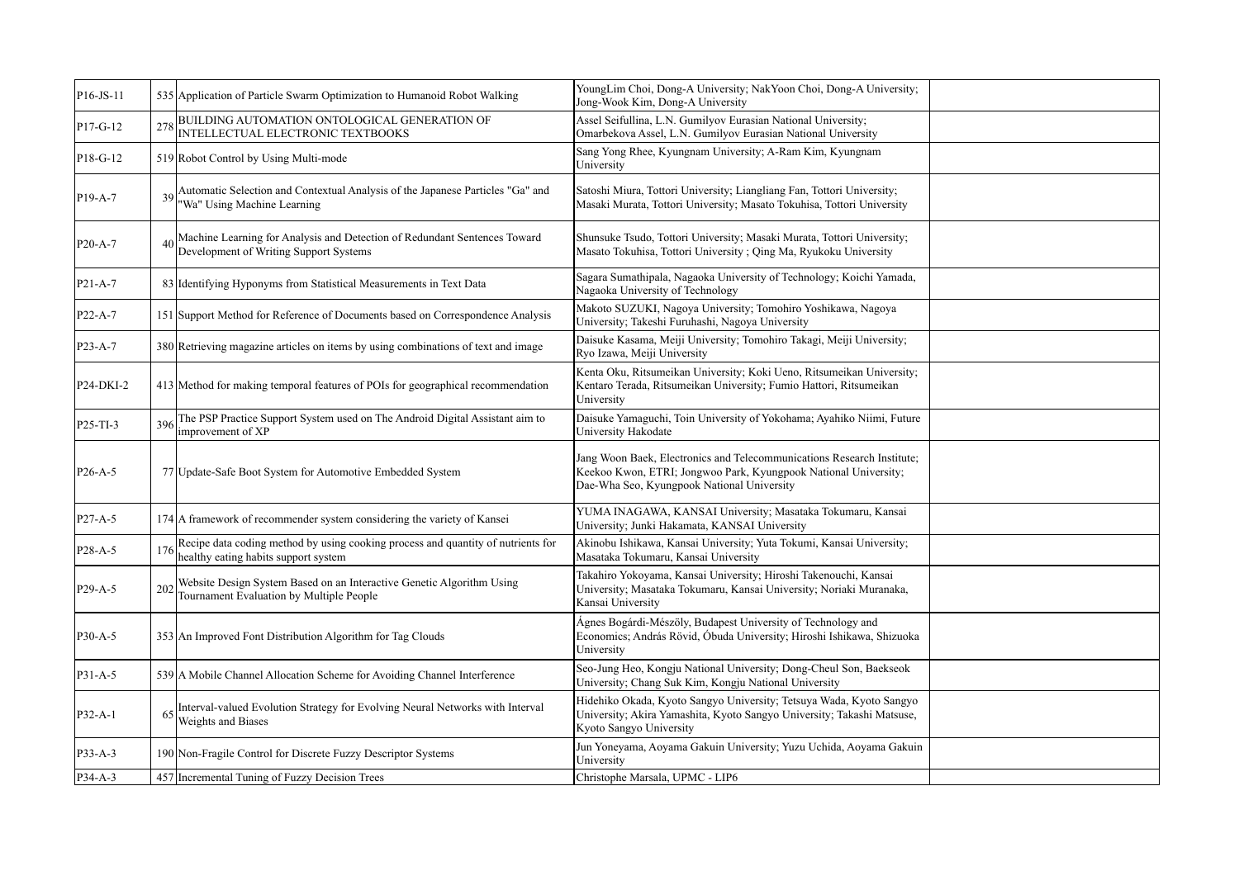| $PI6-JS-11$          |                | 535 Application of Particle Swarm Optimization to Humanoid Robot Walking                                                 | YoungLim Choi, Dong-A University; NakYoon Choi, Dong-A University;<br>Jong-Wook Kim, Dong-A University                                                                                  |  |
|----------------------|----------------|--------------------------------------------------------------------------------------------------------------------------|-----------------------------------------------------------------------------------------------------------------------------------------------------------------------------------------|--|
| P17-G-12             | 278            | BUILDING AUTOMATION ONTOLOGICAL GENERATION OF<br>INTELLECTUAL ELECTRONIC TEXTBOOKS                                       | Assel Seifullina, L.N. Gumilyov Eurasian National University;<br>Omarbekova Assel, L.N. Gumilyov Eurasian National University                                                           |  |
| $PI8-G-12$           |                | 519 Robot Control by Using Multi-mode                                                                                    | Sang Yong Rhee, Kyungnam University; A-Ram Kim, Kyungnam<br>University                                                                                                                  |  |
| P <sub>19</sub> -A-7 |                | Automatic Selection and Contextual Analysis of the Japanese Particles "Ga" and<br>'Wa" Using Machine Learning            | Satoshi Miura, Tottori University; Liangliang Fan, Tottori University;<br>Masaki Murata, Tottori University; Masato Tokuhisa, Tottori University                                        |  |
| P <sub>20</sub> -A-7 | $\overline{4}$ | Machine Learning for Analysis and Detection of Redundant Sentences Toward<br>Development of Writing Support Systems      | Shunsuke Tsudo, Tottori University; Masaki Murata, Tottori University;<br>Masato Tokuhisa, Tottori University; Qing Ma, Ryukoku University                                              |  |
| P21-A-7              |                | 83 Identifying Hyponyms from Statistical Measurements in Text Data                                                       | Sagara Sumathipala, Nagaoka University of Technology; Koichi Yamada,<br>Nagaoka University of Technology                                                                                |  |
| P <sub>22</sub> -A-7 |                | 151 Support Method for Reference of Documents based on Correspondence Analysis                                           | Makoto SUZUKI, Nagoya University; Tomohiro Yoshikawa, Nagoya<br>University; Takeshi Furuhashi, Nagoya University                                                                        |  |
| P <sub>23</sub> -A-7 |                | 380 Retrieving magazine articles on items by using combinations of text and image                                        | Daisuke Kasama, Meiji University; Tomohiro Takagi, Meiji University;<br>Ryo Izawa, Meiji University                                                                                     |  |
| P24-DKI-2            |                | 413 Method for making temporal features of POIs for geographical recommendation                                          | Kenta Oku, Ritsumeikan University; Koki Ueno, Ritsumeikan University;<br>Kentaro Terada, Ritsumeikan University; Fumio Hattori, Ritsumeikan<br>University                               |  |
| $P25-TI-3$           | 396            | The PSP Practice Support System used on The Android Digital Assistant aim to<br>improvement of XP                        | Daisuke Yamaguchi, Toin University of Yokohama; Ayahiko Niimi, Future<br>University Hakodate                                                                                            |  |
| P <sub>26</sub> -A-5 |                | 77 Update-Safe Boot System for Automotive Embedded System                                                                | Jang Woon Baek, Electronics and Telecommunications Research Institute;<br>Keekoo Kwon, ETRI; Jongwoo Park, Kyungpook National University;<br>Dae-Wha Seo, Kyungpook National University |  |
| P27-A-5              |                | 174 A framework of recommender system considering the variety of Kansei                                                  | YUMA INAGAWA, KANSAI University; Masataka Tokumaru, Kansai<br>University; Junki Hakamata, KANSAI University                                                                             |  |
| P <sub>28</sub> -A-5 | 176            | Recipe data coding method by using cooking process and quantity of nutrients for<br>healthy eating habits support system | Akinobu Ishikawa, Kansai University; Yuta Tokumi, Kansai University;<br>Masataka Tokumaru, Kansai University                                                                            |  |
| P29-A-5              | 202            | Website Design System Based on an Interactive Genetic Algorithm Using<br>Tournament Evaluation by Multiple People        | Takahiro Yokoyama, Kansai University; Hiroshi Takenouchi, Kansai<br>University; Masataka Tokumaru, Kansai University; Noriaki Muranaka,<br>Kansai University                            |  |
| P30-A-5              |                | 353 An Improved Font Distribution Algorithm for Tag Clouds                                                               | Ágnes Bogárdi-Mészöly, Budapest University of Technology and<br>Economics; András Rövid, Óbuda University; Hiroshi Ishikawa, Shizuoka<br>University                                     |  |
| P31-A-5              |                | 539 A Mobile Channel Allocation Scheme for Avoiding Channel Interference                                                 | Seo-Jung Heo, Kongju National University; Dong-Cheul Son, Baekseok<br>University; Chang Suk Kim, Kongju National University                                                             |  |
| $P32-A-1$            | 6              | Interval-valued Evolution Strategy for Evolving Neural Networks with Interval<br>Weights and Biases                      | Hidehiko Okada, Kyoto Sangyo University; Tetsuya Wada, Kyoto Sangyo<br>University; Akira Yamashita, Kyoto Sangyo University; Takashi Matsuse,<br>Kyoto Sangyo University                |  |
| $P33-A-3$            |                | 190 Non-Fragile Control for Discrete Fuzzy Descriptor Systems                                                            | Jun Yoneyama, Aoyama Gakuin University; Yuzu Uchida, Aoyama Gakuin<br>University                                                                                                        |  |
| P34-A-3              |                | 457 Incremental Tuning of Fuzzy Decision Trees                                                                           | Christophe Marsala, UPMC - LIP6                                                                                                                                                         |  |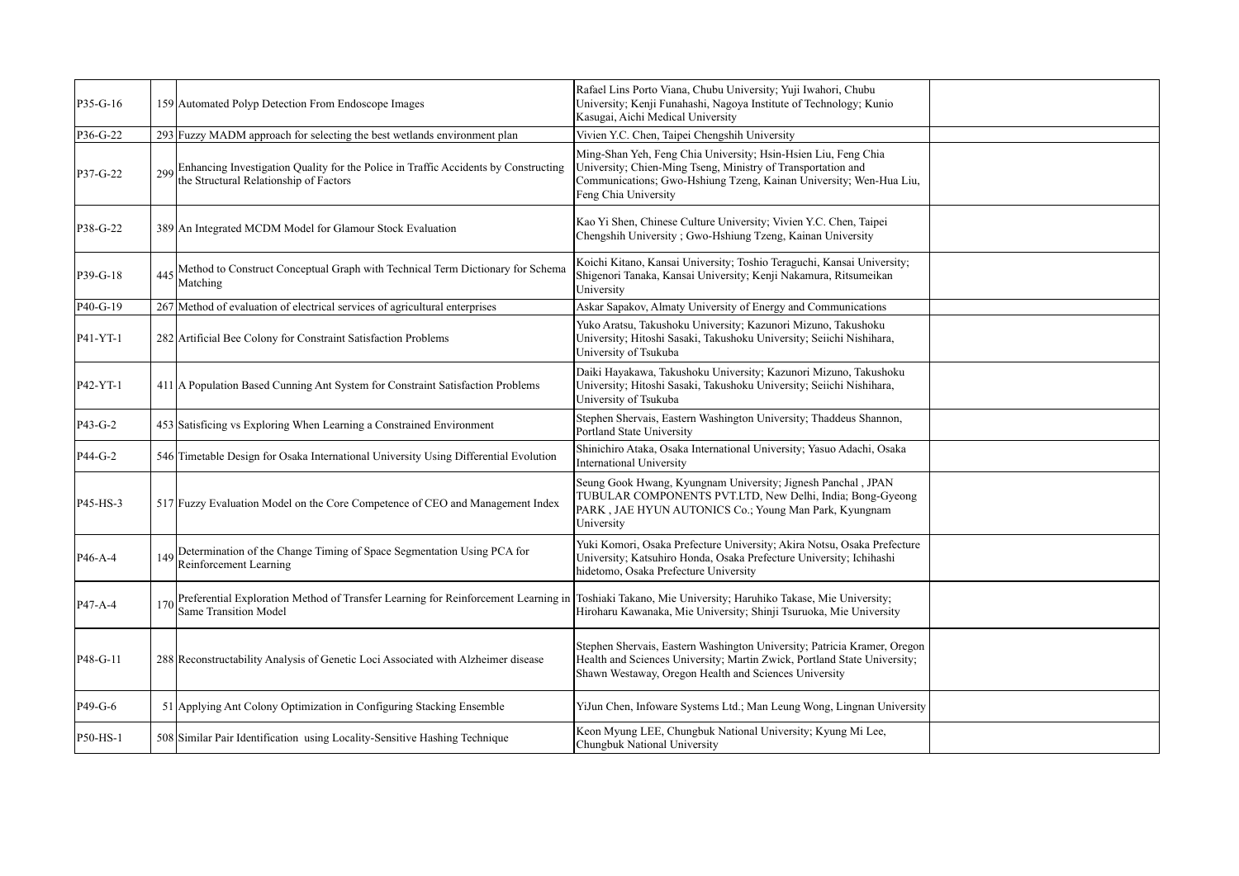| P35-G-16  |     | 159 Automated Polyp Detection From Endoscope Images                                                                        | Rafael Lins Porto Viana, Chubu University; Yuji Iwahori, Chubu<br>University; Kenji Funahashi, Nagoya Institute of Technology; Kunio<br>Kasugai, Aichi Medical University                                                    |  |
|-----------|-----|----------------------------------------------------------------------------------------------------------------------------|------------------------------------------------------------------------------------------------------------------------------------------------------------------------------------------------------------------------------|--|
| P36-G-22  |     | 293 Fuzzy MADM approach for selecting the best wetlands environment plan                                                   | Vivien Y.C. Chen, Taipei Chengshih University                                                                                                                                                                                |  |
| P37-G-22  | 299 | Enhancing Investigation Quality for the Police in Traffic Accidents by Constructing the Structural Relationship of Factors | Ming-Shan Yeh, Feng Chia University; Hsin-Hsien Liu, Feng Chia<br>University; Chien-Ming Tseng, Ministry of Transportation and<br>Communications; Gwo-Hshiung Tzeng, Kainan University; Wen-Hua Liu,<br>Feng Chia University |  |
| P38-G-22  |     | 389 An Integrated MCDM Model for Glamour Stock Evaluation                                                                  | Kao Yi Shen, Chinese Culture University; Vivien Y.C. Chen, Taipei<br>Chengshih University ; Gwo-Hshiung Tzeng, Kainan University                                                                                             |  |
| P39-G-18  | 445 | Method to Construct Conceptual Graph with Technical Term Dictionary for Schema<br>Matching                                 | Koichi Kitano, Kansai University; Toshio Teraguchi, Kansai University;<br>Shigenori Tanaka, Kansai University; Kenji Nakamura, Ritsumeikan<br>University                                                                     |  |
| P40-G-19  |     | 267 Method of evaluation of electrical services of agricultural enterprises                                                | Askar Sapakov, Almaty University of Energy and Communications                                                                                                                                                                |  |
| P41-YT-1  |     | 282 Artificial Bee Colony for Constraint Satisfaction Problems                                                             | Yuko Aratsu, Takushoku University; Kazunori Mizuno, Takushoku<br>University; Hitoshi Sasaki, Takushoku University; Seiichi Nishihara,<br>University of Tsukuba                                                               |  |
| P42-YT-1  |     | 411 A Population Based Cunning Ant System for Constraint Satisfaction Problems                                             | Daiki Hayakawa, Takushoku University; Kazunori Mizuno, Takushoku<br>University; Hitoshi Sasaki, Takushoku University; Seiichi Nishihara,<br>University of Tsukuba                                                            |  |
| $P43-G-2$ |     | 453 Satisficing vs Exploring When Learning a Constrained Environment                                                       | Stephen Shervais, Eastern Washington University; Thaddeus Shannon,<br>Portland State University                                                                                                                              |  |
| P44-G-2   |     | 546 Timetable Design for Osaka International University Using Differential Evolution                                       | Shinichiro Ataka, Osaka International University; Yasuo Adachi, Osaka<br><b>International University</b>                                                                                                                     |  |
| P45-HS-3  |     | 517 Fuzzy Evaluation Model on the Core Competence of CEO and Management Index                                              | Seung Gook Hwang, Kyungnam University; Jignesh Panchal, JPAN<br>TUBULAR COMPONENTS PVT.LTD, New Delhi, India; Bong-Gyeong<br>PARK, JAE HYUN AUTONICS Co.; Young Man Park, Kyungnam<br>University                             |  |
| P46-A-4   | 149 | Determination of the Change Timing of Space Segmentation Using PCA for<br>Reinforcement Learning                           | Yuki Komori, Osaka Prefecture University; Akira Notsu, Osaka Prefecture<br>University; Katsuhiro Honda, Osaka Prefecture University; Ichihashi<br>hidetomo, Osaka Prefecture University                                      |  |
| P47-A-4   | 170 | Preferential Exploration Method of Transfer Learning for Reinforcement Learning in<br><b>Same Transition Model</b>         | Toshiaki Takano, Mie University; Haruhiko Takase, Mie University;<br>Hiroharu Kawanaka, Mie University; Shinji Tsuruoka, Mie University                                                                                      |  |
| P48-G-11  |     | 288 Reconstructability Analysis of Genetic Loci Associated with Alzheimer disease                                          | Stephen Shervais, Eastern Washington University; Patricia Kramer, Oregon<br>Health and Sciences University; Martin Zwick, Portland State University;<br>Shawn Westaway, Oregon Health and Sciences University                |  |
| P49-G-6   |     | 51 Applying Ant Colony Optimization in Configuring Stacking Ensemble                                                       | YiJun Chen, Infoware Systems Ltd.; Man Leung Wong, Lingnan University                                                                                                                                                        |  |
| P50-HS-1  |     | 508 Similar Pair Identification using Locality-Sensitive Hashing Technique                                                 | Keon Myung LEE, Chungbuk National University; Kyung Mi Lee,<br>Chungbuk National University                                                                                                                                  |  |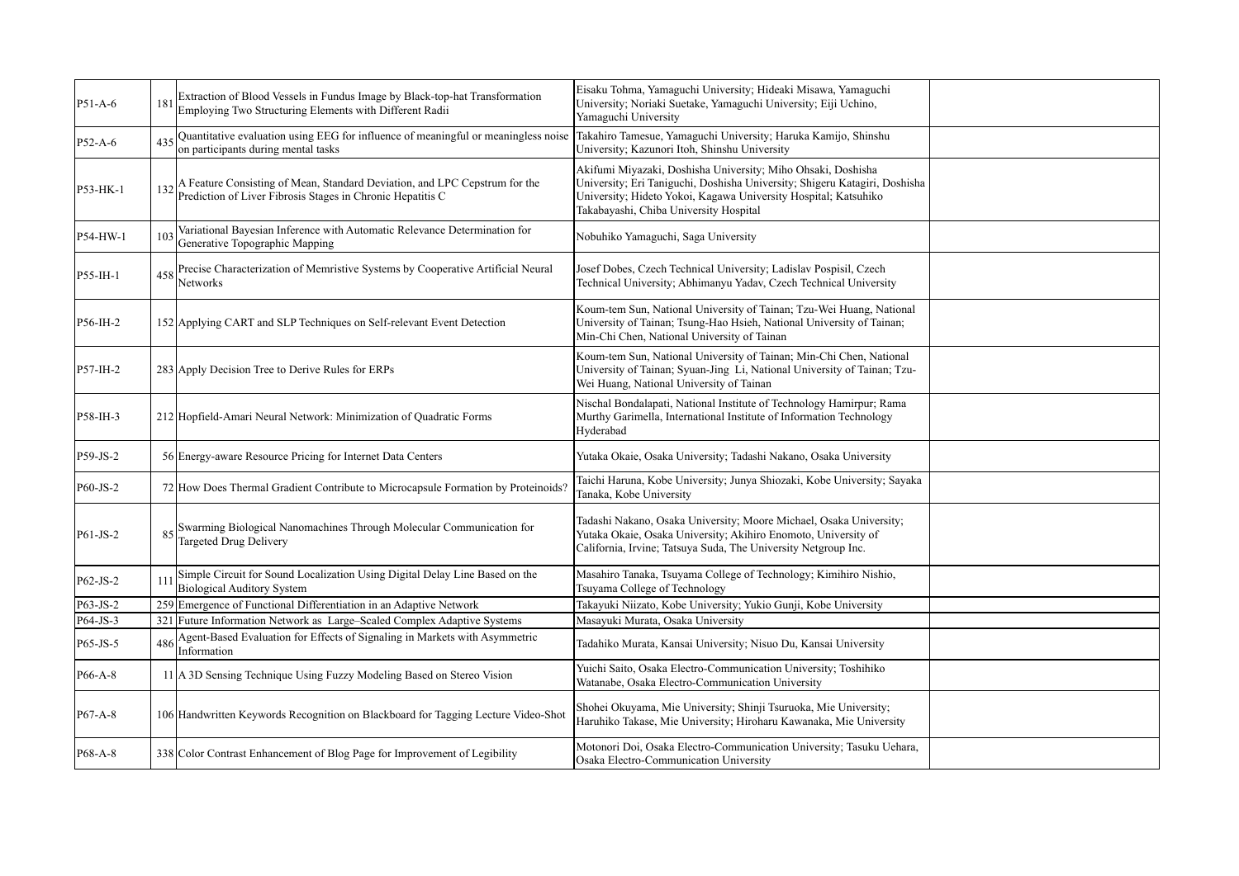| P51-A-6    |                 | Extraction of Blood Vessels in Fundus Image by Black-top-hat Transformation<br>Employing Two Structuring Elements with Different Radii   | Eisaku Tohma, Yamaguchi University; Hideaki Misawa, Yamaguchi<br>University; Noriaki Suetake, Yamaguchi University; Eiji Uchino,<br>Yamaguchi University                                                                                                |  |
|------------|-----------------|------------------------------------------------------------------------------------------------------------------------------------------|---------------------------------------------------------------------------------------------------------------------------------------------------------------------------------------------------------------------------------------------------------|--|
| P52-A-6    | 435             | Quantitative evaluation using EEG for influence of meaningful or meaningless noise<br>on participants during mental tasks                | Takahiro Tamesue, Yamaguchi University; Haruka Kamijo, Shinshu<br>University; Kazunori Itoh, Shinshu University                                                                                                                                         |  |
| P53-HK-1   | 132             | A Feature Consisting of Mean, Standard Deviation, and LPC Cepstrum for the<br>Prediction of Liver Fibrosis Stages in Chronic Hepatitis C | Akifumi Miyazaki, Doshisha University; Miho Ohsaki, Doshisha<br>University; Eri Taniguchi, Doshisha University; Shigeru Katagiri, Doshisha<br>University; Hideto Yokoi, Kagawa University Hospital; Katsuhiko<br>Takabayashi, Chiba University Hospital |  |
| P54-HW-1   | 10 <sup>3</sup> | Variational Bayesian Inference with Automatic Relevance Determination for<br>Generative Topographic Mapping                              | Nobuhiko Yamaguchi, Saga University                                                                                                                                                                                                                     |  |
| P55-IH-1   | 458             | Precise Characterization of Memristive Systems by Cooperative Artificial Neural<br>Networks                                              | Josef Dobes, Czech Technical University; Ladislav Pospisil, Czech<br>Technical University; Abhimanyu Yadav, Czech Technical University                                                                                                                  |  |
| P56-IH-2   |                 | 152 Applying CART and SLP Techniques on Self-relevant Event Detection                                                                    | Koum-tem Sun, National University of Tainan; Tzu-Wei Huang, National<br>University of Tainan; Tsung-Hao Hsieh, National University of Tainan;<br>Min-Chi Chen, National University of Tainan                                                            |  |
| P57-IH-2   |                 | 283 Apply Decision Tree to Derive Rules for ERPs                                                                                         | Koum-tem Sun, National University of Tainan; Min-Chi Chen, National<br>University of Tainan; Syuan-Jing Li, National University of Tainan; Tzu-<br>Wei Huang, National University of Tainan                                                             |  |
| P58-IH-3   |                 | 212 Hopfield-Amari Neural Network: Minimization of Quadratic Forms                                                                       | Nischal Bondalapati, National Institute of Technology Hamirpur; Rama<br>Murthy Garimella, International Institute of Information Technology<br>Hyderabad                                                                                                |  |
| P59-JS-2   |                 | 56 Energy-aware Resource Pricing for Internet Data Centers                                                                               | Yutaka Okaie, Osaka University; Tadashi Nakano, Osaka University                                                                                                                                                                                        |  |
| P60-JS-2   |                 | 72 How Does Thermal Gradient Contribute to Microcapsule Formation by Proteinoids?                                                        | Taichi Haruna, Kobe University; Junya Shiozaki, Kobe University; Sayaka<br>Tanaka, Kobe University                                                                                                                                                      |  |
| $P61-JS-2$ |                 | Swarming Biological Nanomachines Through Molecular Communication for<br>Targeted Drug Delivery                                           | Tadashi Nakano, Osaka University; Moore Michael, Osaka University;<br>Yutaka Okaie, Osaka University; Akihiro Enomoto, University of<br>California, Irvine; Tatsuya Suda, The University Netgroup Inc.                                                  |  |
| P62-JS-2   | 11 <sup>1</sup> | Simple Circuit for Sound Localization Using Digital Delay Line Based on the<br><b>Biological Auditory System</b>                         | Masahiro Tanaka, Tsuyama College of Technology; Kimihiro Nishio,<br>Tsuyama College of Technology                                                                                                                                                       |  |
| P63-JS-2   |                 | 259 Emergence of Functional Differentiation in an Adaptive Network                                                                       | Takayuki Niizato, Kobe University; Yukio Gunji, Kobe University                                                                                                                                                                                         |  |
| P64-JS-3   |                 | 321 Future Information Network as Large-Scaled Complex Adaptive Systems                                                                  | Masayuki Murata, Osaka University                                                                                                                                                                                                                       |  |
| P65-JS-5   | 486             | Agent-Based Evaluation for Effects of Signaling in Markets with Asymmetric<br>Information                                                | Tadahiko Murata, Kansai University; Nisuo Du, Kansai University                                                                                                                                                                                         |  |
| P66-A-8    |                 | 11 A 3D Sensing Technique Using Fuzzy Modeling Based on Stereo Vision                                                                    | Yuichi Saito, Osaka Electro-Communication University; Toshihiko<br>Watanabe, Osaka Electro-Communication University                                                                                                                                     |  |
| P67-A-8    |                 | 106 Handwritten Keywords Recognition on Blackboard for Tagging Lecture Video-Shot                                                        | Shohei Okuyama, Mie University; Shinji Tsuruoka, Mie University;<br>Haruhiko Takase, Mie University; Hiroharu Kawanaka, Mie University                                                                                                                  |  |
| P68-A-8    |                 | 338 Color Contrast Enhancement of Blog Page for Improvement of Legibility                                                                | Motonori Doi, Osaka Electro-Communication University; Tasuku Uehara,<br>Osaka Electro-Communication University                                                                                                                                          |  |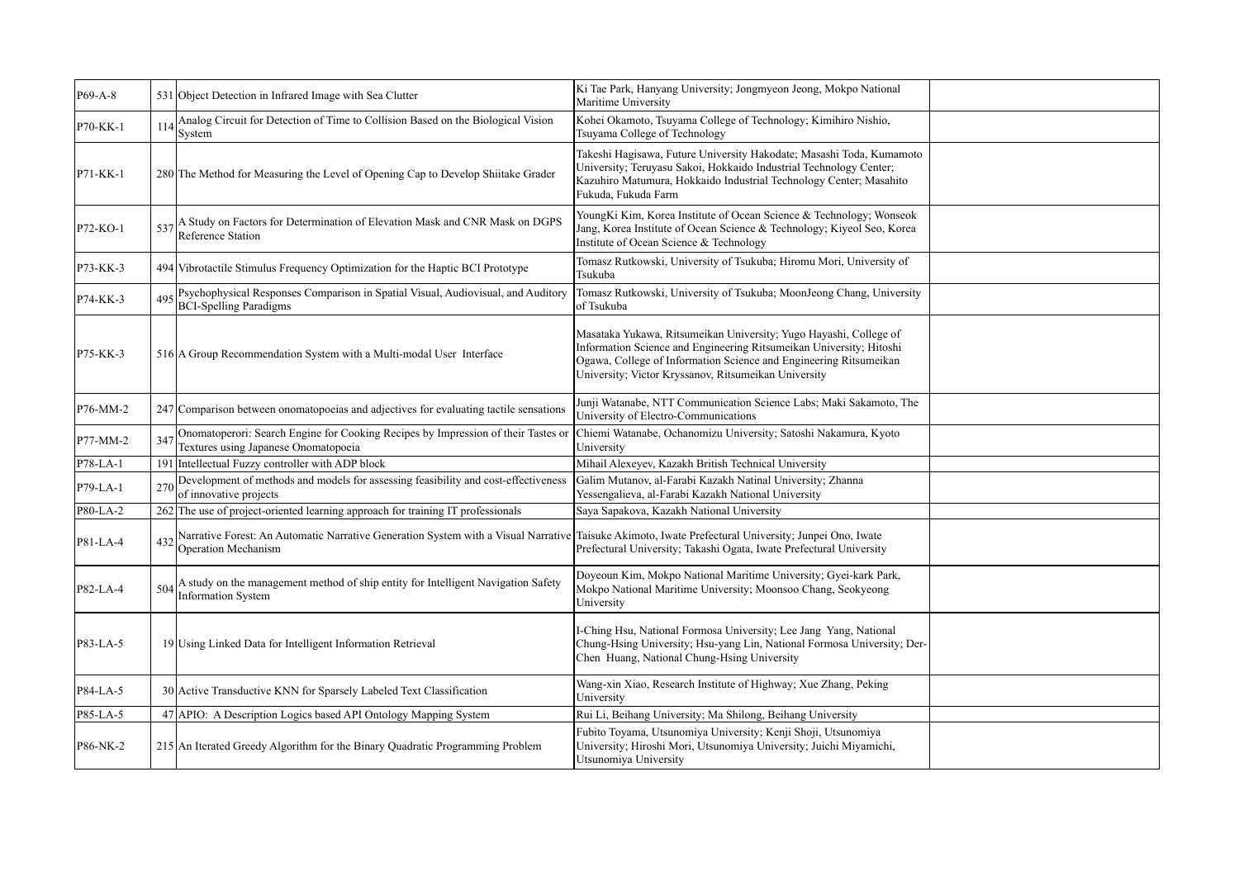| P69-A-8    |     | 531 Object Detection in Infrared Image with Sea Clutter                                                                   | Ki Tae Park, Hanyang University; Jongmyeon Jeong, Mokpo National<br>Maritime University                                                                                                                                                                               |  |
|------------|-----|---------------------------------------------------------------------------------------------------------------------------|-----------------------------------------------------------------------------------------------------------------------------------------------------------------------------------------------------------------------------------------------------------------------|--|
| P70-KK-1   | 114 | Analog Circuit for Detection of Time to Collision Based on the Biological Vision<br>System                                | Kohei Okamoto, Tsuyama College of Technology; Kimihiro Nishio,<br>Tsuyama College of Technology                                                                                                                                                                       |  |
| P71-KK-1   |     | 280 The Method for Measuring the Level of Opening Cap to Develop Shiitake Grader                                          | Takeshi Hagisawa, Future University Hakodate; Masashi Toda, Kumamoto<br>University; Teruyasu Sakoi, Hokkaido Industrial Technology Center;<br>Kazuhiro Matumura, Hokkaido Industrial Technology Center; Masahito<br>Fukuda. Fukuda Farm                               |  |
| P72-KO-1   | 537 | A Study on Factors for Determination of Elevation Mask and CNR Mask on DGPS<br>Reference Station                          | YoungKi Kim, Korea Institute of Ocean Science & Technology; Wonseok<br>Jang, Korea Institute of Ocean Science & Technology; Kiyeol Seo, Korea<br>Institute of Ocean Science & Technology                                                                              |  |
| P73-KK-3   |     | 494 Vibrotactile Stimulus Frequency Optimization for the Haptic BCI Prototype                                             | Tomasz Rutkowski, University of Tsukuba; Hiromu Mori, University of<br>Tsukuba                                                                                                                                                                                        |  |
| P74-KK-3   | 495 | Psychophysical Responses Comparison in Spatial Visual, Audiovisual, and Auditory<br><b>BCI-Spelling Paradigms</b>         | Tomasz Rutkowski, University of Tsukuba; MoonJeong Chang, University<br>of Tsukuba                                                                                                                                                                                    |  |
| P75-KK-3   |     | 516 A Group Recommendation System with a Multi-modal User Interface                                                       | Masataka Yukawa, Ritsumeikan University; Yugo Hayashi, College of<br>Information Science and Engineering Ritsumeikan University; Hitoshi<br>Ogawa, College of Information Science and Engineering Ritsumeikan<br>University; Victor Kryssanov, Ritsumeikan University |  |
| P76-MM-2   |     | 247 Comparison between onomatopoeias and adjectives for evaluating tactile sensations                                     | Junji Watanabe, NTT Communication Science Labs; Maki Sakamoto, The<br>University of Electro-Communications                                                                                                                                                            |  |
| P77-MM-2   | 347 | Onomatoperori: Search Engine for Cooking Recipes by Impression of their Tastes or<br>Textures using Japanese Onomatopoeia | Chiemi Watanabe, Ochanomizu University; Satoshi Nakamura, Kyoto<br>University                                                                                                                                                                                         |  |
| $P78-LA-1$ |     | 191 Intellectual Fuzzy controller with ADP block                                                                          | Mihail Alexeyev, Kazakh British Technical University                                                                                                                                                                                                                  |  |
| $P79-LA-1$ | 27( | Development of methods and models for assessing feasibility and cost-effectiveness<br>of innovative projects              | Galim Mutanov, al-Farabi Kazakh Natinal University; Zhanna<br>Yessengalieva, al-Farabi Kazakh National University                                                                                                                                                     |  |
| P80-LA-2   |     | 262 The use of project-oriented learning approach for training IT professionals                                           | Saya Sapakova, Kazakh National University                                                                                                                                                                                                                             |  |
| P81-LA-4   | 432 | Narrative Forest: An Automatic Narrative Generation System with a Visual Narrative<br>Operation Mechanism                 | Taisuke Akimoto, Iwate Prefectural University; Junpei Ono, Iwate<br>Prefectural University; Takashi Ogata, Iwate Prefectural University                                                                                                                               |  |
| P82-LA-4   | 504 | A study on the management method of ship entity for Intelligent Navigation Safety<br>Information System                   | Doyeoun Kim, Mokpo National Maritime University; Gyei-kark Park,<br>Mokpo National Maritime University; Moonsoo Chang, Seokyeong<br>University                                                                                                                        |  |
| P83-LA-5   |     | 19 Using Linked Data for Intelligent Information Retrieval                                                                | I-Ching Hsu, National Formosa University; Lee Jang Yang, National<br>Chung-Hsing University; Hsu-yang Lin, National Formosa University; Der-<br>Chen Huang, National Chung-Hsing University                                                                           |  |
| P84-LA-5   |     | 30 Active Transductive KNN for Sparsely Labeled Text Classification                                                       | Wang-xin Xiao, Research Institute of Highway; Xue Zhang, Peking<br>University                                                                                                                                                                                         |  |
| P85-LA-5   |     | 47 APIO: A Description Logics based API Ontology Mapping System                                                           | Rui Li, Beihang University; Ma Shilong, Beihang University                                                                                                                                                                                                            |  |
| P86-NK-2   |     | 215 An Iterated Greedy Algorithm for the Binary Quadratic Programming Problem                                             | Fubito Toyama, Utsunomiya University; Kenji Shoji, Utsunomiya<br>University; Hiroshi Mori, Utsunomiya University; Juichi Miyamichi,<br>Utsunomiya University                                                                                                          |  |